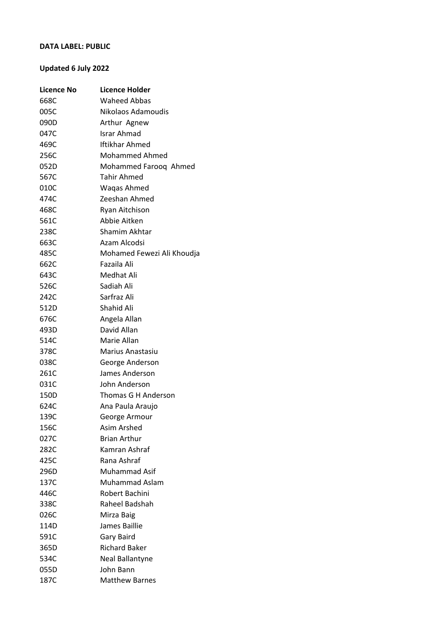## **DATA LABEL: PUBLIC**

## **Updated 6 July 2022**

| <b>Licence No</b> | <b>Licence Holder</b>      |
|-------------------|----------------------------|
| 668C              | <b>Waheed Abbas</b>        |
| 005C              | Nikolaos Adamoudis         |
| 090D              | Arthur Agnew               |
| 047C              | Israr Ahmad                |
| 469C              | Iftikhar Ahmed             |
| 256C              | Mohammed Ahmed             |
| 052D              | Mohammed Farooq Ahmed      |
| 567C              | Tahir Ahmed                |
| 010C              | Waqas Ahmed                |
| 474C              | Zeeshan Ahmed              |
| 468C              | Ryan Aitchison             |
| 561C              | Abbie Aitken               |
| 238C              | Shamim Akhtar              |
| 663C              | Azam Alcodsi               |
| 485C              | Mohamed Fewezi Ali Khoudja |
| 662C              | Fazaila Ali                |
| 643C              | Medhat Ali                 |
| 526C              | Sadiah Ali                 |
| 242C              | Sarfraz Ali                |
| 512D              | Shahid Ali                 |
| 676C              | Angela Allan               |
| 493D              | David Allan                |
| 514C              | Marie Allan                |
| 378C              | Marius Anastasiu           |
| 038C              | George Anderson            |
| 261C              | James Anderson             |
| 031C              | John Anderson              |
| 150D              | Thomas G H Anderson        |
| 624C              | Ana Paula Araujo           |
| 139C              | George Armour              |
| 156C              | Asim Arshed                |
| 027C              | <b>Brian Arthur</b>        |
| 282C              | Kamran Ashraf              |
| 425C              | Rana Ashraf                |
| 296D              | Muhammad Asif              |
| 137C              | <b>Muhammad Aslam</b>      |
| 446C              | Robert Bachini             |
| 338C              | Raheel Badshah             |
| 026C              | Mirza Baig                 |
| 114D              | James Baillie              |
| 591C              | Gary Baird                 |
| 365D              | <b>Richard Baker</b>       |
| 534C              | Neal Ballantyne            |
| 055D              | John Bann                  |
| 187C              | <b>Matthew Barnes</b>      |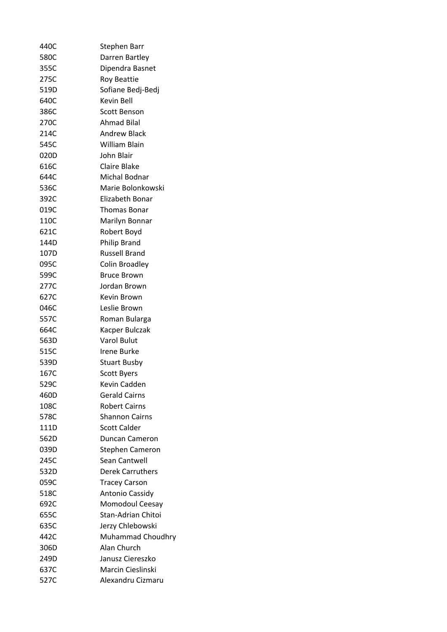| 440C | <b>Stephen Barr</b>     |
|------|-------------------------|
| 580C | Darren Bartley          |
| 355C | Dipendra Basnet         |
| 275C | <b>Roy Beattie</b>      |
| 519D | Sofiane Bedj-Bedj       |
| 640C | Kevin Bell              |
| 386C | Scott Benson            |
| 270C | Ahmad Bilal             |
| 214C | <b>Andrew Black</b>     |
| 545C | William Blain           |
| 020D | John Blair              |
| 616C | Claire Blake            |
| 644C | Michal Bodnar           |
| 536C | Marie Bolonkowski       |
| 392C | Elizabeth Bonar         |
| 019C | Thomas Bonar            |
| 110C | Marilyn Bonnar          |
| 621C | Robert Boyd             |
| 144D | <b>Philip Brand</b>     |
| 107D | <b>Russell Brand</b>    |
| 095C | Colin Broadley          |
| 599C | <b>Bruce Brown</b>      |
| 277C | Jordan Brown            |
| 627C | Kevin Brown             |
| 046C | Leslie Brown            |
| 557C | Roman Bularga           |
| 664C | Kacper Bulczak          |
| 563D | Varol Bulut             |
| 515C | Irene Burke             |
| 539D | <b>Stuart Busby</b>     |
| 167C | <b>Scott Byers</b>      |
| 529C | <b>Kevin Cadden</b>     |
| 460D | <b>Gerald Cairns</b>    |
| 108C | <b>Robert Cairns</b>    |
| 578C | <b>Shannon Cairns</b>   |
| 111D | <b>Scott Calder</b>     |
| 562D | <b>Duncan Cameron</b>   |
| 039D | Stephen Cameron         |
| 245C | Sean Cantwell           |
| 532D | <b>Derek Carruthers</b> |
| 059C | <b>Tracey Carson</b>    |
| 518C | Antonio Cassidy         |
| 692C | Momodoul Ceesay         |
| 655C | Stan-Adrian Chitoi      |
| 635C | Jerzy Chlebowski        |
| 442C | Muhammad Choudhry       |
| 306D | Alan Church             |
| 249D | Janusz Ciereszko        |
| 637C | Marcin Cieslinski       |
| 527C | Alexandru Cizmaru       |
|      |                         |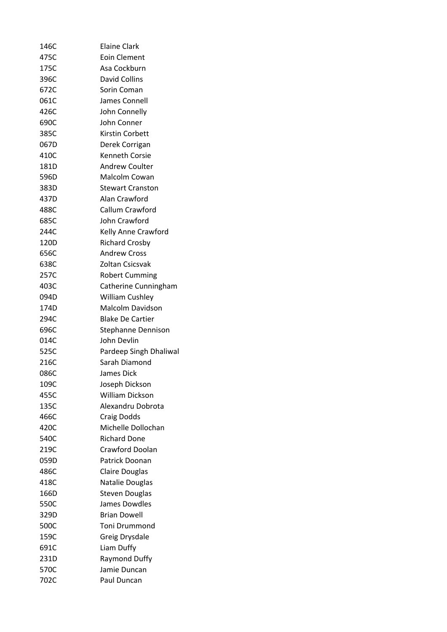| 146C | <b>Elaine Clark</b>     |
|------|-------------------------|
| 475C | Eoin Clement            |
| 175C | Asa Cockburn            |
| 396C | <b>David Collins</b>    |
| 672C | Sorin Coman             |
| 061C | James Connell           |
| 426C | John Connelly           |
| 690C | John Conner             |
| 385C | Kirstin Corbett         |
| 067D | Derek Corrigan          |
| 410C | Kenneth Corsie          |
| 181D | <b>Andrew Coulter</b>   |
| 596D | Malcolm Cowan           |
| 383D | <b>Stewart Cranston</b> |
| 437D | Alan Crawford           |
| 488C | Callum Crawford         |
| 685C | John Crawford           |
| 244C | Kelly Anne Crawford     |
| 120D | <b>Richard Crosby</b>   |
| 656C | <b>Andrew Cross</b>     |
| 638C | Zoltan Csicsvak         |
| 257C | <b>Robert Cumming</b>   |
| 403C | Catherine Cunningham    |
| 094D | <b>William Cushley</b>  |
| 174D | Malcolm Davidson        |
| 294C | <b>Blake De Cartier</b> |
| 696C | Stephanne Dennison      |
| 014C | John Devlin             |
| 525C | Pardeep Singh Dhaliwal  |
| 216C | Sarah Diamond           |
| 086C | James Dick              |
| 109C | Joseph Dickson          |
| 455C | <b>William Dickson</b>  |
| 135C | Alexandru Dobrota       |
| 466C | Craig Dodds             |
| 420C | Michelle Dollochan      |
| 540C | <b>Richard Done</b>     |
| 219C | <b>Crawford Doolan</b>  |
| 059D | Patrick Doonan          |
| 486C | <b>Claire Douglas</b>   |
| 418C | Natalie Douglas         |
| 166D | <b>Steven Douglas</b>   |
| 550C | James Dowdles           |
| 329D | <b>Brian Dowell</b>     |
| 500C | Toni Drummond           |
| 159C | Greig Drysdale          |
| 691C | Liam Duffy              |
| 231D | <b>Raymond Duffy</b>    |
| 570C | Jamie Duncan            |
| 702C | Paul Duncan             |
|      |                         |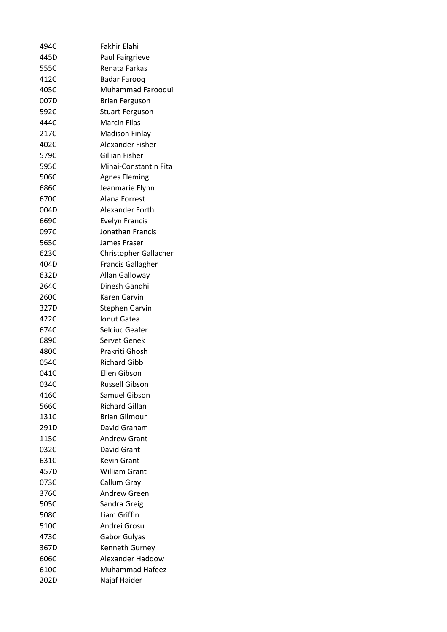| 494C | <b>Fakhir Elahi</b>      |
|------|--------------------------|
| 445D | <b>Paul Fairgrieve</b>   |
| 555C | Renata Farkas            |
| 412C | Badar Farooq             |
| 405C | Muhammad Farooqui        |
| 007D | <b>Brian Ferguson</b>    |
| 592C | <b>Stuart Ferguson</b>   |
| 444C | Marcin Filas             |
| 217C | <b>Madison Finlay</b>    |
| 402C | Alexander Fisher         |
| 579C | Gillian Fisher           |
| 595C | Mihai-Constantin Fita    |
| 506C | <b>Agnes Fleming</b>     |
| 686C | Jeanmarie Flynn          |
| 670C | Alana Forrest            |
| 004D | Alexander Forth          |
| 669C | <b>Evelyn Francis</b>    |
| 097C | Jonathan Francis         |
| 565C | James Fraser             |
| 623C | Christopher Gallacher    |
| 404D | <b>Francis Gallagher</b> |
| 632D | Allan Galloway           |
| 264C | Dinesh Gandhi            |
| 260C | Karen Garvin             |
| 327D | Stephen Garvin           |
| 422C | Ionut Gatea              |
| 674C | Selciuc Geafer           |
| 689C | Servet Genek             |
| 480C | Prakriti Ghosh           |
| 054C | <b>Richard Gibb</b>      |
| 041C | Ellen Gibson             |
| 034C | <b>Russell Gibson</b>    |
| 416C | Samuel Gibson            |
| 566C | <b>Richard Gillan</b>    |
| 131C | <b>Brian Gilmour</b>     |
| 291D | David Graham             |
| 115C | Andrew Grant             |
| 032C | David Grant              |
| 631C | <b>Kevin Grant</b>       |
| 457D |                          |
|      | <b>William Grant</b>     |
| 073C | Callum Gray              |
| 376C | <b>Andrew Green</b>      |
| 505C | Sandra Greig             |
| 508C | Liam Griffin             |
| 510C | Andrei Grosu             |
| 473C | Gabor Gulyas             |
| 367D | <b>Kenneth Gurney</b>    |
| 606C | Alexander Haddow         |
| 610C | Muhammad Hafeez          |
| 202D | Najaf Haider             |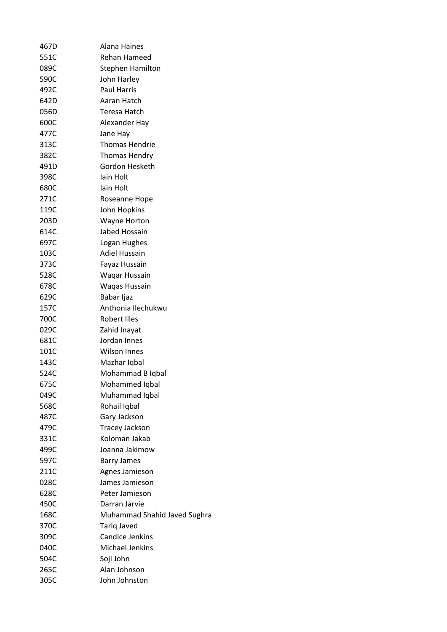| 467D | <b>Alana Haines</b>          |
|------|------------------------------|
| 551C | Rehan Hameed                 |
| 089C | <b>Stephen Hamilton</b>      |
| 590C | John Harley                  |
| 492C | <b>Paul Harris</b>           |
| 642D | Aaran Hatch                  |
| 056D | Teresa Hatch                 |
| 600C | Alexander Hay                |
| 477C | Jane Hay                     |
| 313C | <b>Thomas Hendrie</b>        |
| 382C | <b>Thomas Hendry</b>         |
| 491D | Gordon Hesketh               |
| 398C | lain Holt                    |
| 680C | lain Holt                    |
| 271C | Roseanne Hope                |
| 119C | John Hopkins                 |
| 203D | Wayne Horton                 |
| 614C | Jabed Hossain                |
| 697C | Logan Hughes                 |
| 103C | <b>Adiel Hussain</b>         |
| 373C | Fayaz Hussain                |
| 528C | Waqar Hussain                |
| 678C | Waqas Hussain                |
| 629C | Babar Ijaz                   |
| 157C | Anthonia Ilechukwu           |
| 700C | <b>Robert Illes</b>          |
| 029C | Zahid Inayat                 |
| 681C | Jordan Innes                 |
| 101C | <b>Wilson Innes</b>          |
| 143C | Mazhar Iqbal                 |
| 524C | Mohammad B Iqbal             |
| 675C | Mohammed Iqbal               |
| 049C | Muhammad Iqbal               |
| 568C | Rohail Iqbal                 |
| 487C | Gary Jackson                 |
| 479C | Tracey Jackson               |
| 331C | Koloman Jakab                |
| 499C | Joanna Jakimow               |
| 597C | <b>Barry James</b>           |
| 211C | Agnes Jamieson               |
| 028C | James Jamieson               |
| 628C | Peter Jamieson               |
| 450C | Darran Jarvie                |
| 168C | Muhammad Shahid Javed Sughra |
| 370C | <b>Tarig Javed</b>           |
| 309C | <b>Candice Jenkins</b>       |
| 040C | Michael Jenkins              |
| 504C | Soji John                    |
| 265C | Alan Johnson                 |
| 305C | John Johnston                |
|      |                              |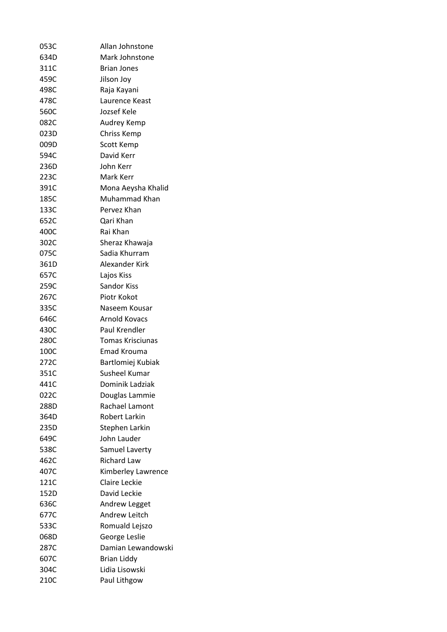| 053C | Allan Johnstone      |
|------|----------------------|
| 634D | Mark Johnstone       |
| 311C | <b>Brian Jones</b>   |
| 459C | Jilson Joy           |
| 498C | Raja Kayani          |
| 478C | Laurence Keast       |
| 560C | Jozsef Kele          |
| 082C | Audrey Kemp          |
| 023D | Chriss Kemp          |
| 009D | Scott Kemp           |
| 594C | David Kerr           |
| 236D | John Kerr            |
| 223C | Mark Kerr            |
| 391C | Mona Aeysha Khalid   |
| 185C | Muhammad Khan        |
| 133C | Pervez Khan          |
| 652C | Qari Khan            |
| 400C | Rai Khan             |
| 302C | Sheraz Khawaja       |
| 075C | Sadia Khurram        |
| 361D | Alexander Kirk       |
| 657C | Lajos Kiss           |
| 259C | Sandor Kiss          |
| 267C | Piotr Kokot          |
| 335C | Naseem Kousar        |
| 646C | Arnold Kovacs        |
| 430C | Paul Krendler        |
| 280C | Tomas Krisciunas     |
| 100C | Emad Krouma          |
| 272C | Bartlomiej Kubiak    |
| 351C | Susheel Kumar        |
| 441C | Dominik Ladziak      |
| 022C | Douglas Lammie       |
| 288D | Rachael Lamont       |
| 364D | <b>Robert Larkin</b> |
| 235D | Stephen Larkin       |
| 649C | John Lauder          |
| 538C | Samuel Laverty       |
| 462C | <b>Richard Law</b>   |
| 407C | Kimberley Lawrence   |
| 121C | Claire Leckie        |
| 152D | David Leckie         |
| 636C | Andrew Legget        |
| 677C | Andrew Leitch        |
| 533C | Romuald Lejszo       |
| 068D | George Leslie        |
| 287C | Damian Lewandowski   |
| 607C | <b>Brian Liddy</b>   |
| 304C | Lidia Lisowski       |
| 210C | Paul Lithgow         |
|      |                      |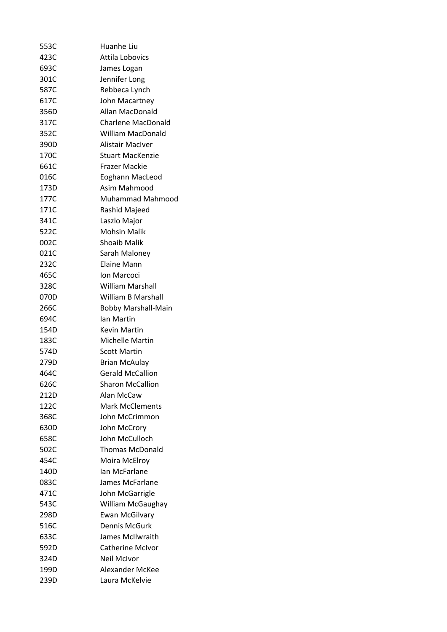| 553C | Huanhe Liu                 |
|------|----------------------------|
| 423C | <b>Attila Lobovics</b>     |
| 693C | James Logan                |
| 301C | Jennifer Long              |
| 587C | Rebbeca Lynch              |
| 617C | John Macartney             |
| 356D | Allan MacDonald            |
| 317C | <b>Charlene MacDonald</b>  |
| 352C | <b>William MacDonald</b>   |
| 390D | <b>Alistair MacIver</b>    |
| 170C | <b>Stuart MacKenzie</b>    |
| 661C | Frazer Mackie              |
| 016C | Eoghann MacLeod            |
| 173D | Asim Mahmood               |
| 177C | <b>Muhammad Mahmood</b>    |
| 171C | Rashid Majeed              |
| 341C | Laszlo Major               |
| 522C | <b>Mohsin Malik</b>        |
| 002C | <b>Shoaib Malik</b>        |
| 021C | Sarah Maloney              |
| 232C | Elaine Mann                |
| 465C | Ion Marcoci                |
| 328C | <b>William Marshall</b>    |
| 070D | William B Marshall         |
| 266C | <b>Bobby Marshall-Main</b> |
| 694C | lan Martin                 |
| 154D | <b>Kevin Martin</b>        |
| 183C | Michelle Martin            |
| 574D | <b>Scott Martin</b>        |
| 279D | <b>Brian McAulay</b>       |
| 464C | <b>Gerald McCallion</b>    |
| 626C | <b>Sharon McCallion</b>    |
| 212D | Alan McCaw                 |
| 122C | <b>Mark McClements</b>     |
| 368C | John McCrimmon             |
| 630D | John McCrory               |
| 658C | John McCulloch             |
| 502C | <b>Thomas McDonald</b>     |
| 454C | Moira McElroy              |
| 140D | Ian McFarlane              |
| 083C | James McFarlane            |
| 471C | John McGarrigle            |
| 543C | William McGaughay          |
| 298D | <b>Ewan McGilvary</b>      |
| 516C | Dennis McGurk              |
| 633C | James McIlwraith           |
| 592D | Catherine McIvor           |
| 324D | Neil McIvor                |
| 199D | Alexander McKee            |
| 239D | Laura McKelvie             |
|      |                            |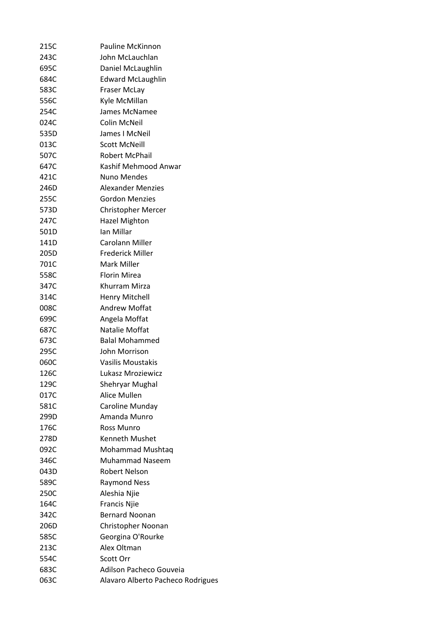| 215C | Pauline McKinnon                  |
|------|-----------------------------------|
| 243C | John McLauchlan                   |
| 695C | Daniel McLaughlin                 |
| 684C | <b>Edward McLaughlin</b>          |
| 583C | Fraser McLay                      |
| 556C | Kyle McMillan                     |
| 254C | James McNamee                     |
| 024C | <b>Colin McNeil</b>               |
| 535D | James I McNeil                    |
| 013C | <b>Scott McNeill</b>              |
| 507C | <b>Robert McPhail</b>             |
| 647C | Kashif Mehmood Anwar              |
| 421C | Nuno Mendes                       |
| 246D | <b>Alexander Menzies</b>          |
| 255C | <b>Gordon Menzies</b>             |
| 573D | <b>Christopher Mercer</b>         |
| 247C | <b>Hazel Mighton</b>              |
| 501D | Ian Millar                        |
| 141D | Carolann Miller                   |
| 205D | <b>Frederick Miller</b>           |
| 701C | Mark Miller                       |
| 558C | <b>Florin Mirea</b>               |
| 347C | Khurram Mirza                     |
| 314C | <b>Henry Mitchell</b>             |
| 008C | <b>Andrew Moffat</b>              |
| 699C | Angela Moffat                     |
| 687C | Natalie Moffat                    |
| 673C | <b>Balal Mohammed</b>             |
| 295C | John Morrison                     |
| 060C | <b>Vasilis Moustakis</b>          |
| 126C | Lukasz Mroziewicz                 |
| 129C | <b>Shehryar Mughal</b>            |
| 017C | <b>Alice Mullen</b>               |
| 581C | Caroline Munday                   |
| 299D | Amanda Munro                      |
| 176C | Ross Munro                        |
| 278D | Kenneth Mushet                    |
| 092C | Mohammad Mushtag                  |
| 346C | <b>Muhammad Naseem</b>            |
| 043D | <b>Robert Nelson</b>              |
| 589C | <b>Raymond Ness</b>               |
| 250C | Aleshia Njie                      |
| 164C | <b>Francis Njie</b>               |
| 342C | <b>Bernard Noonan</b>             |
| 206D | Christopher Noonan                |
| 585C | Georgina O'Rourke                 |
| 213C | Alex Oltman                       |
| 554C | Scott Orr                         |
| 683C | Adilson Pacheco Gouveia           |
| 063C | Alavaro Alberto Pacheco Rodrigues |
|      |                                   |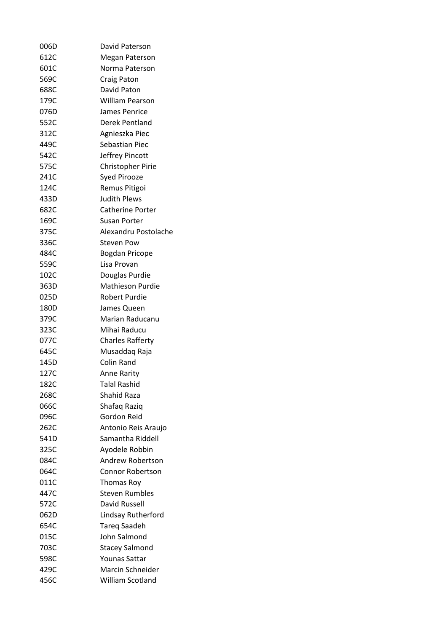| 006D | David Paterson           |
|------|--------------------------|
| 612C | Megan Paterson           |
| 601C | Norma Paterson           |
| 569C | Craig Paton              |
| 688C | David Paton              |
| 179C | <b>William Pearson</b>   |
| 076D | James Penrice            |
| 552C | Derek Pentland           |
| 312C | Agnieszka Piec           |
| 449C | Sebastian Piec           |
| 542C | Jeffrey Pincott          |
| 575C | <b>Christopher Pirie</b> |
| 241C | Syed Pirooze             |
| 124C | <b>Remus Pitigoi</b>     |
| 433D | <b>Judith Plews</b>      |
| 682C | Catherine Porter         |
| 169C | Susan Porter             |
| 375C | Alexandru Postolache     |
| 336C | Steven Pow               |
| 484C | Bogdan Pricope           |
| 559C | Lisa Provan              |
| 102C | Douglas Purdie           |
| 363D | Mathieson Purdie         |
| 025D | Robert Purdie            |
| 180D | James Queen              |
| 379C | Marian Raducanu          |
| 323C | Mihai Raducu             |
| 077C | <b>Charles Rafferty</b>  |
| 645C | Musaddaq Raja            |
| 145D | Colin Rand               |
| 127C | <b>Anne Rarity</b>       |
| 182C | <b>Talal Rashid</b>      |
| 268C | Shahid Raza              |
| 066C | Shafaq Raziq             |
| 096C | Gordon Reid              |
| 262C | Antonio Reis Araujo      |
| 541D | Samantha Riddell         |
| 325C | Ayodele Robbin           |
| 084C | Andrew Robertson         |
| 064C | <b>Connor Robertson</b>  |
| 011C | <b>Thomas Roy</b>        |
| 447C | <b>Steven Rumbles</b>    |
| 572C | David Russell            |
| 062D | Lindsay Rutherford       |
| 654C | <b>Tareg Saadeh</b>      |
| 015C | John Salmond             |
| 703C | <b>Stacey Salmond</b>    |
| 598C | <b>Younas Sattar</b>     |
| 429C | Marcin Schneider         |
| 456C | William Scotland         |
|      |                          |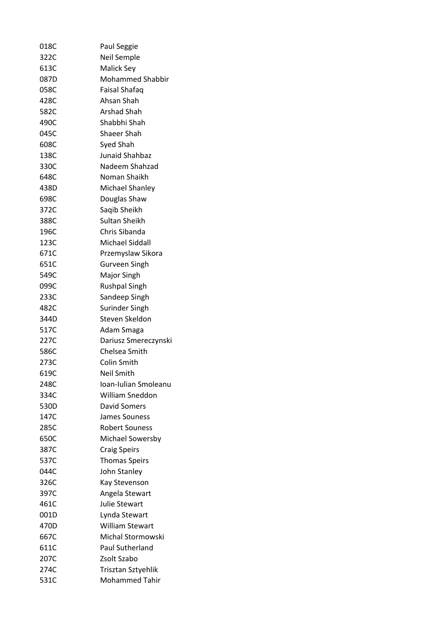| 018C | Paul Seggie             |
|------|-------------------------|
| 322C | Neil Semple             |
| 613C | Malick Sey              |
| 087D | <b>Mohammed Shabbir</b> |
| 058C | Faisal Shafaq           |
| 428C | Ahsan Shah              |
| 582C | Arshad Shah             |
| 490C | Shabbhi Shah            |
| 045C | Shaeer Shah             |
| 608C | Syed Shah               |
| 138C | <b>Junaid Shahbaz</b>   |
| 330C | Nadeem Shahzad          |
| 648C | Noman Shaikh            |
| 438D | Michael Shanley         |
| 698C | Douglas Shaw            |
| 372C | Saqib Sheikh            |
| 388C | Sultan Sheikh           |
| 196C | Chris Sibanda           |
| 123C | Michael Siddall         |
| 671C | Przemyslaw Sikora       |
| 651C | Gurveen Singh           |
| 549C | Major Singh             |
| 099C | <b>Rushpal Singh</b>    |
| 233C | Sandeep Singh           |
| 482C | Surinder Singh          |
| 344D | Steven Skeldon          |
| 517C | Adam Smaga              |
| 227C | Dariusz Smereczynski    |
| 586C | Chelsea Smith           |
| 273C | Colin Smith             |
| 619C | Neil Smith              |
| 248C | Ioan-Iulian Smoleanu    |
| 334C | William Sneddon         |
| 530D | David Somers            |
| 147C | James Souness           |
| 285C | <b>Robert Souness</b>   |
| 650C | Michael Sowersby        |
| 387C | <b>Craig Speirs</b>     |
| 537C | <b>Thomas Speirs</b>    |
| 044C | John Stanley            |
| 326C | Kay Stevenson           |
| 397C | Angela Stewart          |
| 461C | <b>Julie Stewart</b>    |
| 001D | Lynda Stewart           |
| 470D | <b>William Stewart</b>  |
| 667C | Michal Stormowski       |
| 611C | <b>Paul Sutherland</b>  |
| 207C | Zsolt Szabo             |
| 274C | Trisztan Sztyehlik      |
| 531C | <b>Mohammed Tahir</b>   |
|      |                         |